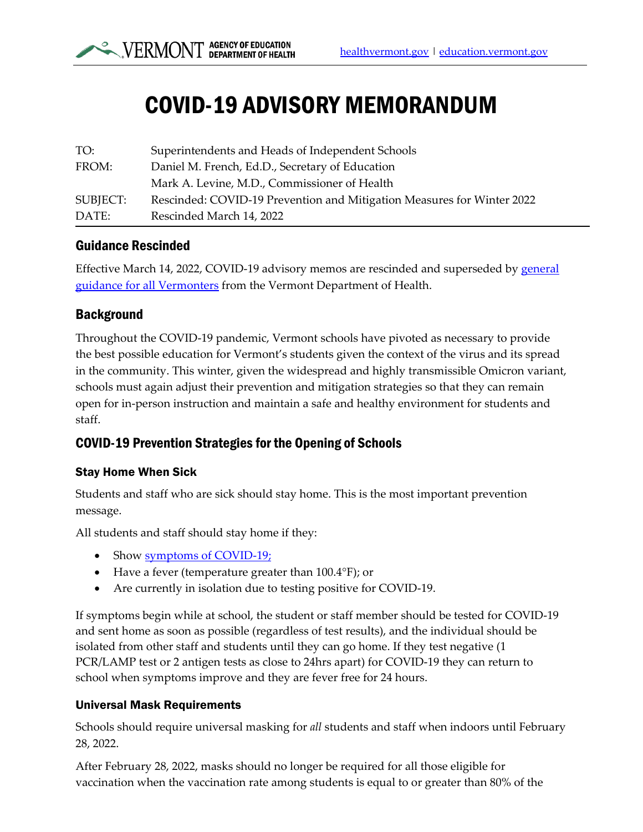# COVID-19 ADVISORY MEMORANDUM

| TO:      | Superintendents and Heads of Independent Schools                       |
|----------|------------------------------------------------------------------------|
| FROM:    | Daniel M. French, Ed.D., Secretary of Education                        |
|          | Mark A. Levine, M.D., Commissioner of Health                           |
| SUBJECT: | Rescinded: COVID-19 Prevention and Mitigation Measures for Winter 2022 |
| DATE:    | Rescinded March 14, 2022                                               |

## Guidance Rescinded

Effective March 14, 2022, COVID-19 advisory memos are rescinded and superseded by general [guidance for all Vermonters](https://www.healthvermont.gov/covid-19/protect-yourself-others) from the Vermont Department of Health.

### **Background**

Throughout the COVID-19 pandemic, Vermont schools have pivoted as necessary to provide the best possible education for Vermont's students given the context of the virus and its spread in the community. This winter, given the widespread and highly transmissible Omicron variant, schools must again adjust their prevention and mitigation strategies so that they can remain open for in-person instruction and maintain a safe and healthy environment for students and staff.

## COVID-19 Prevention Strategies for the Opening of Schools

#### Stay Home When Sick

Students and staff who are sick should stay home. This is the most important prevention message.

All students and staff should stay home if they:

- Show [symptoms of COVID-19;](https://www.healthvermont.gov/covid-19/symptoms-sickness/symptoms)
- Have a fever (temperature greater than 100.4°F); or
- Are currently in isolation due to testing positive for COVID-19.

If symptoms begin while at school, the student or staff member should be tested for COVID-19 and sent home as soon as possible (regardless of test results), and the individual should be isolated from other staff and students until they can go home. If they test negative (1 PCR/LAMP test or 2 antigen tests as close to 24hrs apart) for COVID-19 they can return to school when symptoms improve and they are fever free for 24 hours.

#### Universal Mask Requirements

Schools should require universal masking for *all* students and staff when indoors until February 28, 2022.

After February 28, 2022, masks should no longer be required for all those eligible for vaccination when the vaccination rate among students is equal to or greater than 80% of the